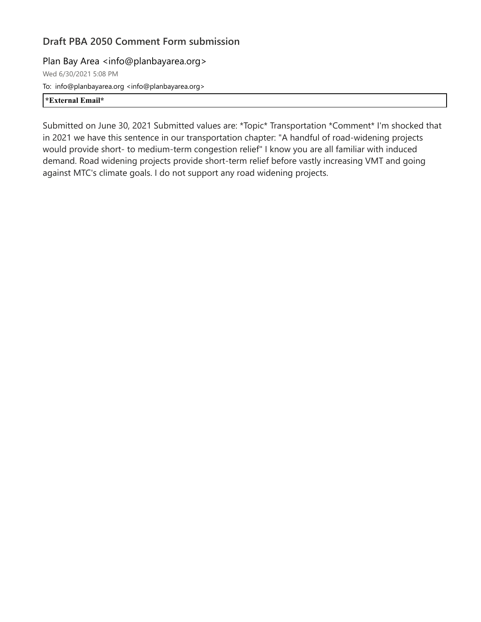Plan Bay Area <info@planbayarea.org>

Wed 6/30/2021 5:08 PM To: info@planbayarea.org <info@planbayarea.org> **\*External Email\***

Submitted on June 30, 2021 Submitted values are: \*Topic\* Transportation \*Comment\* I'm shocked that in 2021 we have this sentence in our transportation chapter: "A handful of road-widening projects would provide short- to medium-term congestion relief" I know you are all familiar with induced demand. Road widening projects provide short-term relief before vastly increasing VMT and going against MTC's climate goals. I do not support any road widening projects.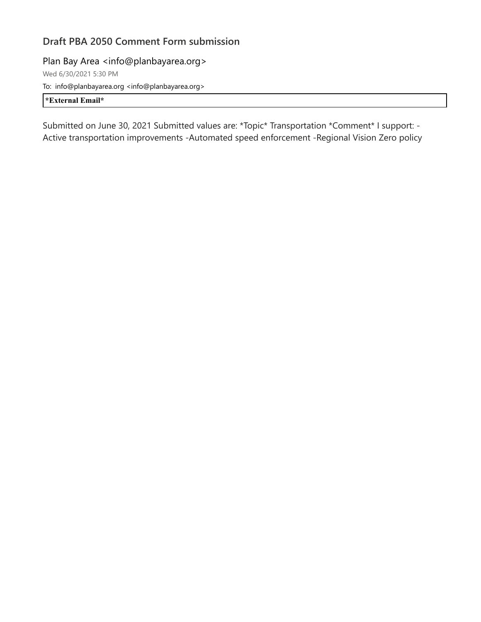Plan Bay Area <info@planbayarea.org> Wed 6/30/2021 5:30 PM To: info@planbayarea.org <info@planbayarea.org>

**\*External Email\***

Submitted on June 30, 2021 Submitted values are: \*Topic\* Transportation \*Comment\* I support: - Active transportation improvements -Automated speed enforcement -Regional Vision Zero policy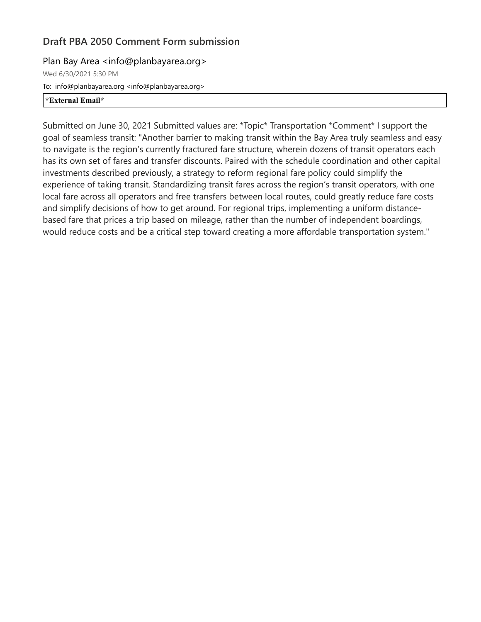#### Plan Bay Area <info@planbayarea.org>

Wed 6/30/2021 5:30 PM To: info@planbayarea.org <info@planbayarea.org> **\*External Email\***

Submitted on June 30, 2021 Submitted values are: \*Topic\* Transportation \*Comment\* I support the goal of seamless transit: "Another barrier to making transit within the Bay Area truly seamless and easy to navigate is the region's currently fractured fare structure, wherein dozens of transit operators each has its own set of fares and transfer discounts. Paired with the schedule coordination and other capital investments described previously, a strategy to reform regional fare policy could simplify the experience of taking transit. Standardizing transit fares across the region's transit operators, with one local fare across all operators and free transfers between local routes, could greatly reduce fare costs and simplify decisions of how to get around. For regional trips, implementing a uniform distancebased fare that prices a trip based on mileage, rather than the number of independent boardings, would reduce costs and be a critical step toward creating a more affordable transportation system."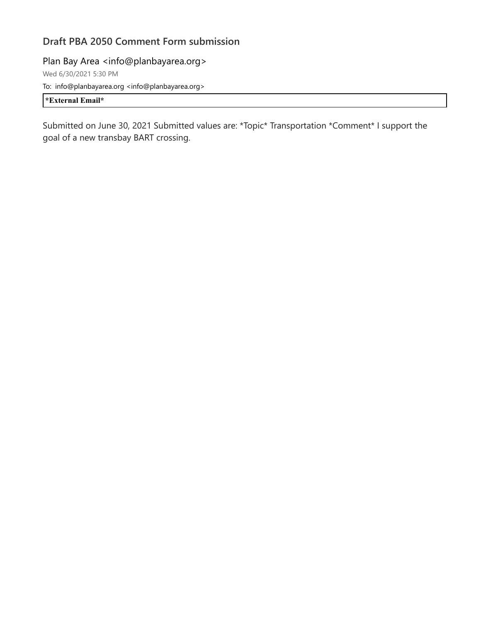Plan Bay Area <info@planbayarea.org>

Wed 6/30/2021 5:30 PM To: info@planbayarea.org <info@planbayarea.org>

**\*External Email\***

Submitted on June 30, 2021 Submitted values are: \*Topic\* Transportation \*Comment\* I support the goal of a new transbay BART crossing.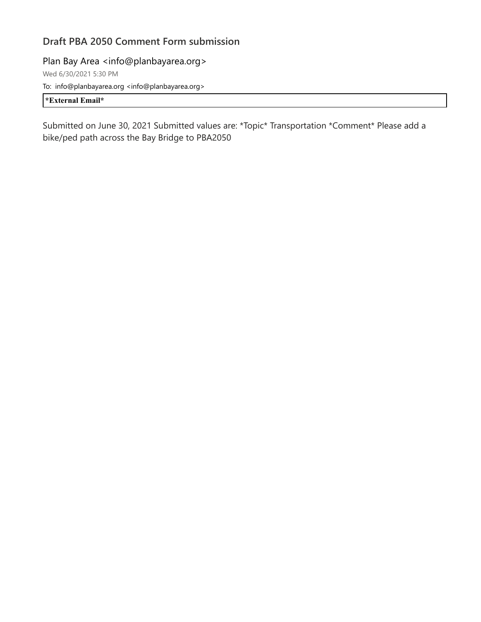Plan Bay Area <info@planbayarea.org>

Wed 6/30/2021 5:30 PM To: info@planbayarea.org <info@planbayarea.org>

**\*External Email\***

Submitted on June 30, 2021 Submitted values are: \*Topic\* Transportation \*Comment\* Please add a bike/ped path across the Bay Bridge to PBA2050